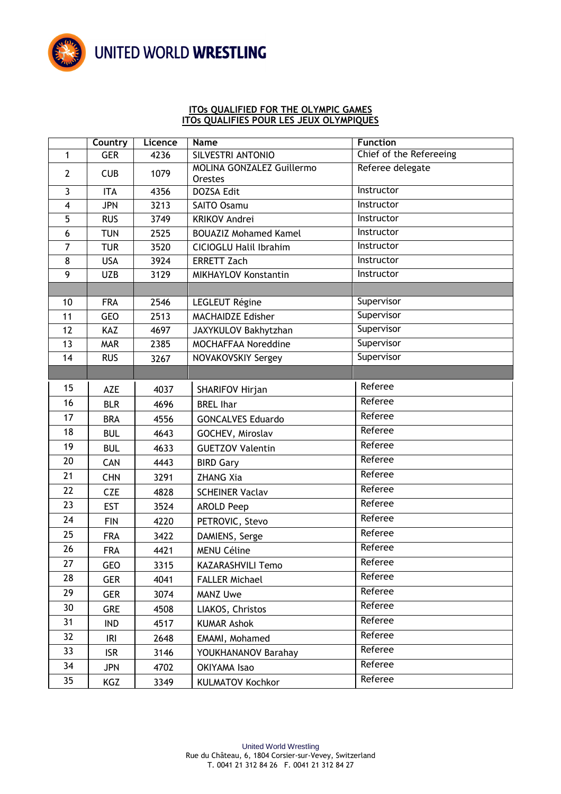

## UNITED WORLD WRESTLING

## **ITOs QUALIFIED FOR THE OLYMPIC GAMES ITOs QUALIFIES POUR LES JEUX OLYMPIQUES**

|                         | Country    | Licence | Name                                        | <b>Function</b>         |
|-------------------------|------------|---------|---------------------------------------------|-------------------------|
| $\mathbf{1}$            | <b>GER</b> | 4236    | SILVESTRI ANTONIO                           | Chief of the Refereeing |
| $\mathbf{2}$            | <b>CUB</b> | 1079    | <b>MOLINA GONZALEZ Guillermo</b><br>Orestes | Referee delegate        |
| 3                       | <b>ITA</b> | 4356    | <b>DOZSA Edit</b>                           | Instructor              |
| $\overline{\mathbf{4}}$ | <b>JPN</b> | 3213    | <b>SAITO Osamu</b>                          | Instructor              |
| 5                       | <b>RUS</b> | 3749    | <b>KRIKOV Andrei</b>                        | Instructor              |
| 6                       | <b>TUN</b> | 2525    | <b>BOUAZIZ Mohamed Kamel</b>                | Instructor              |
| 7                       | <b>TUR</b> | 3520    | <b>CICIOGLU Halil Ibrahim</b>               | Instructor              |
| 8                       | <b>USA</b> | 3924    | <b>ERRETT Zach</b>                          | Instructor              |
| 9                       | <b>UZB</b> | 3129    | MIKHAYLOV Konstantin                        | Instructor              |
|                         |            |         |                                             |                         |
| 10                      | <b>FRA</b> | 2546    | LEGLEUT Régine                              | Supervisor              |
| 11                      | <b>GEO</b> | 2513    | <b>MACHAIDZE Edisher</b>                    | Supervisor              |
| 12                      | KAZ        | 4697    | JAXYKULOV Bakhytzhan                        | Supervisor              |
| 13                      | <b>MAR</b> | 2385    | MOCHAFFAA Noreddine                         | Supervisor              |
| 14                      | <b>RUS</b> | 3267    | NOVAKOVSKIY Sergey                          | Supervisor              |
|                         |            |         |                                             |                         |
| 15                      | <b>AZE</b> | 4037    | SHARIFOV Hirjan                             | Referee                 |
| 16                      | <b>BLR</b> | 4696    | <b>BREL Ihar</b>                            | Referee                 |
| 17                      | <b>BRA</b> | 4556    | <b>GONCALVES Eduardo</b>                    | Referee                 |
| 18                      | <b>BUL</b> | 4643    | GOCHEV, Miroslav                            | Referee                 |
| 19                      | <b>BUL</b> | 4633    | <b>GUETZOV Valentin</b>                     | Referee                 |
| 20                      | CAN        | 4443    | <b>BIRD Gary</b>                            | Referee                 |
| 21                      | <b>CHN</b> | 3291    | <b>ZHANG Xia</b>                            | Referee                 |
| 22                      | <b>CZE</b> | 4828    | <b>SCHEINER Vaclav</b>                      | Referee                 |
| 23                      | <b>EST</b> | 3524    | <b>AROLD Peep</b>                           | Referee                 |
| 24                      | <b>FIN</b> | 4220    | PETROVIC, Stevo                             | Referee                 |
| 25                      | <b>FRA</b> | 3422    | DAMIENS, Serge                              | Referee                 |
| 26                      | <b>FRA</b> | 4421    | <b>MENU Céline</b>                          | Referee                 |
| 27                      | GEO        | 3315    | <b>KAZARASHVILI Temo</b>                    | Referee                 |
| 28                      | <b>GER</b> | 4041    | <b>FALLER Michael</b>                       | Referee                 |
| 29                      | <b>GER</b> | 3074    | <b>MANZ Uwe</b>                             | Referee                 |
| 30                      | <b>GRE</b> | 4508    | LIAKOS, Christos                            | Referee                 |
| 31                      | <b>IND</b> | 4517    | <b>KUMAR Ashok</b>                          | Referee                 |
| 32                      | IRI        | 2648    | EMAMI, Mohamed                              | Referee                 |
| 33                      | <b>ISR</b> | 3146    | YOUKHANANOV Barahay                         | Referee                 |
| 34                      | <b>JPN</b> | 4702    | OKIYAMA Isao                                | Referee                 |
| 35                      | KGZ        | 3349    | <b>KULMATOV Kochkor</b>                     | Referee                 |
|                         |            |         |                                             |                         |